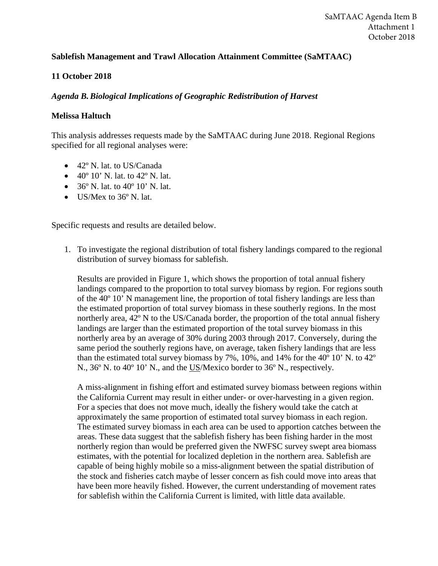## **Sablefish Management and Trawl Allocation Attainment Committee (SaMTAAC)**

## **11 October 2018**

## *Agenda B. Biological Implications of Geographic Redistribution of Harvest*

## **Melissa Haltuch**

This analysis addresses requests made by the SaMTAAC during June 2018. Regional Regions specified for all regional analyses were:

- 42º N. lat. to US/Canada
- $40^{\circ}$  10' N. lat. to  $42^{\circ}$  N. lat.
- $36^{\circ}$  N. lat. to  $40^{\circ}$  10' N. lat.
- US/Mex to 36° N. lat.

Specific requests and results are detailed below.

1. To investigate the regional distribution of total fishery landings compared to the regional distribution of survey biomass for sablefish.

Results are provided in Figure 1, which shows the proportion of total annual fishery landings compared to the proportion to total survey biomass by region. For regions south of the 40º 10' N management line, the proportion of total fishery landings are less than the estimated proportion of total survey biomass in these southerly regions. In the most northerly area, 42º N to the US/Canada border, the proportion of the total annual fishery landings are larger than the estimated proportion of the total survey biomass in this northerly area by an average of 30% during 2003 through 2017. Conversely, during the same period the southerly regions have, on average, taken fishery landings that are less than the estimated total survey biomass by 7%, 10%, and 14% for the 40º 10' N. to 42º N., 36º N. to 40º 10' N., and the US/Mexico border to 36º N., respectively.

A miss-alignment in fishing effort and estimated survey biomass between regions within the California Current may result in either under- or over-harvesting in a given region. For a species that does not move much, ideally the fishery would take the catch at approximately the same proportion of estimated total survey biomass in each region. The estimated survey biomass in each area can be used to apportion catches between the areas. These data suggest that the sablefish fishery has been fishing harder in the most northerly region than would be preferred given the NWFSC survey swept area biomass estimates, with the potential for localized depletion in the northern area. Sablefish are capable of being highly mobile so a miss-alignment between the spatial distribution of the stock and fisheries catch maybe of lesser concern as fish could move into areas that have been more heavily fished. However, the current understanding of movement rates for sablefish within the California Current is limited, with little data available.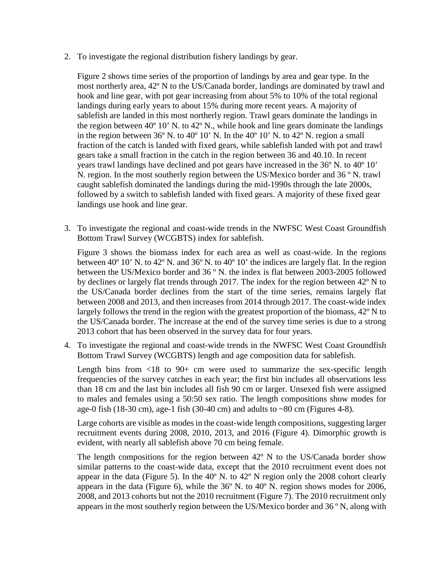2. To investigate the regional distribution fishery landings by gear.

Figure 2 shows time series of the proportion of landings by area and gear type. In the most northerly area, 42º N to the US/Canada border, landings are dominated by trawl and hook and line gear, with pot gear increasing from about 5% to 10% of the total regional landings during early years to about 15% during more recent years. A majority of sablefish are landed in this most northerly region. Trawl gears dominate the landings in the region between  $40^{\circ}$  10' N. to  $42^{\circ}$  N., while hook and line gears dominate the landings in the region between  $36^{\circ}$  N. to  $40^{\circ}$  10' N. In the  $40^{\circ}$  10' N. to  $42^{\circ}$  N. region a small fraction of the catch is landed with fixed gears, while sablefish landed with pot and trawl gears take a small fraction in the catch in the region between 36 and 40.10. In recent years trawl landings have declined and pot gears have increased in the 36º N. to 40º 10' N. region. In the most southerly region between the US/Mexico border and 36 º N. trawl caught sablefish dominated the landings during the mid-1990s through the late 2000s, followed by a switch to sablefish landed with fixed gears. A majority of these fixed gear landings use hook and line gear.

3. To investigate the regional and coast-wide trends in the NWFSC West Coast Groundfish Bottom Trawl Survey (WCGBTS) index for sablefish.

Figure 3 shows the biomass index for each area as well as coast-wide. In the regions between 40º 10' N. to 42º N. and 36º N. to 40º 10' the indices are largely flat. In the region between the US/Mexico border and 36 º N. the index is flat between 2003-2005 followed by declines or largely flat trends through 2017. The index for the region between 42º N to the US/Canada border declines from the start of the time series, remains largely flat between 2008 and 2013, and then increases from 2014 through 2017. The coast-wide index largely follows the trend in the region with the greatest proportion of the biomass, 42<sup>°</sup> N to the US/Canada border. The increase at the end of the survey time series is due to a strong 2013 cohort that has been observed in the survey data for four years.

4. To investigate the regional and coast-wide trends in the NWFSC West Coast Groundfish Bottom Trawl Survey (WCGBTS) length and age composition data for sablefish.

Length bins from  $\langle 18 \rangle$  to 90+ cm were used to summarize the sex-specific length frequencies of the survey catches in each year; the first bin includes all observations less than 18 cm and the last bin includes all fish 90 cm or larger. Unsexed fish were assigned to males and females using a 50:50 sex ratio. The length compositions show modes for age-0 fish (18-30 cm), age-1 fish (30-40 cm) and adults to  $\sim 80$  cm (Figures 4-8).

Large cohorts are visible as modes in the coast-wide length compositions, suggesting larger recruitment events during 2008, 2010, 2013, and 2016 (Figure 4). Dimorphic growth is evident, with nearly all sablefish above 70 cm being female.

The length compositions for the region between 42º N to the US/Canada border show similar patterns to the coast-wide data, except that the 2010 recruitment event does not appear in the data (Figure 5). In the 40º N. to 42º N region only the 2008 cohort clearly appears in the data (Figure 6), while the 36º N. to 40º N. region shows modes for 2006, 2008, and 2013 cohorts but not the 2010 recruitment (Figure 7). The 2010 recruitment only appears in the most southerly region between the US/Mexico border and 36 º N, along with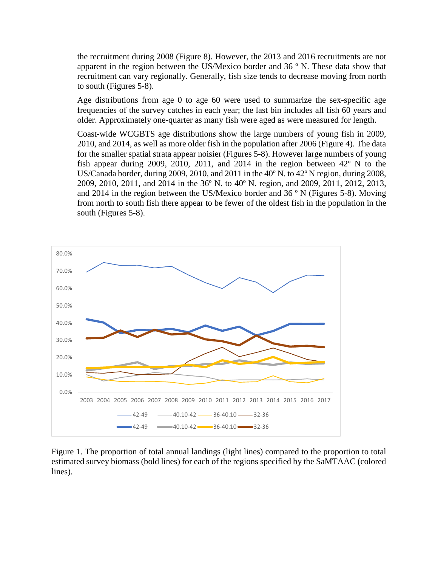the recruitment during 2008 (Figure 8). However, the 2013 and 2016 recruitments are not apparent in the region between the US/Mexico border and 36 º N. These data show that recruitment can vary regionally. Generally, fish size tends to decrease moving from north to south (Figures 5-8).

Age distributions from age 0 to age 60 were used to summarize the sex-specific age frequencies of the survey catches in each year; the last bin includes all fish 60 years and older. Approximately one-quarter as many fish were aged as were measured for length.

Coast-wide WCGBTS age distributions show the large numbers of young fish in 2009, 2010, and 2014, as well as more older fish in the population after 2006 (Figure 4). The data for the smaller spatial strata appear noisier (Figures 5-8). However large numbers of young fish appear during 2009, 2010, 2011, and 2014 in the region between 42º N to the US/Canada border, during 2009, 2010, and 2011 in the 40º N. to 42º N region, during 2008, 2009, 2010, 2011, and 2014 in the 36º N. to 40º N. region, and 2009, 2011, 2012, 2013, and 2014 in the region between the US/Mexico border and 36 º N (Figures 5-8). Moving from north to south fish there appear to be fewer of the oldest fish in the population in the south (Figures 5-8).



Figure 1. The proportion of total annual landings (light lines) compared to the proportion to total estimated survey biomass (bold lines) for each of the regions specified by the SaMTAAC (colored lines).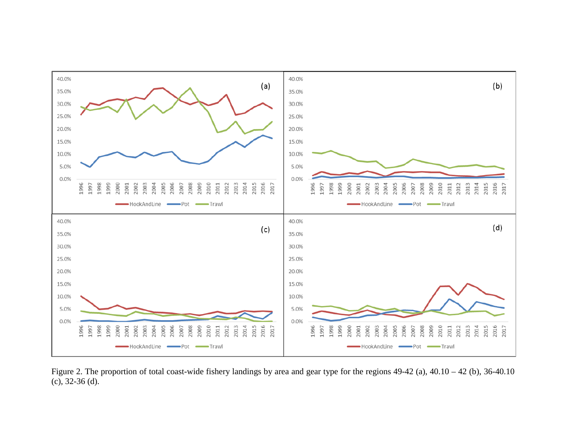

Figure 2. The proportion of total coast-wide fishery landings by area and gear type for the regions 49-42 (a), 40.10 – 42 (b), 36-40.10 (c), 32-36 (d).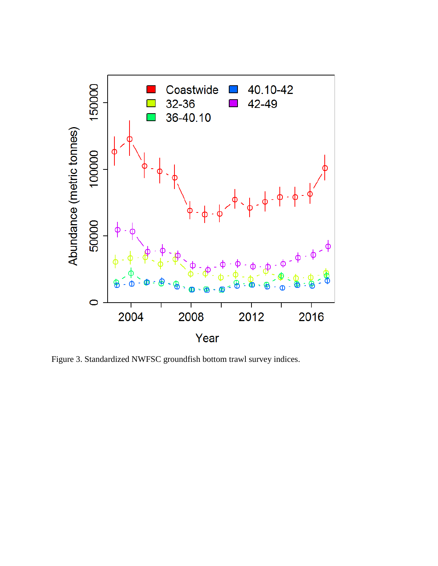

Figure 3. Standardized NWFSC groundfish bottom trawl survey indices.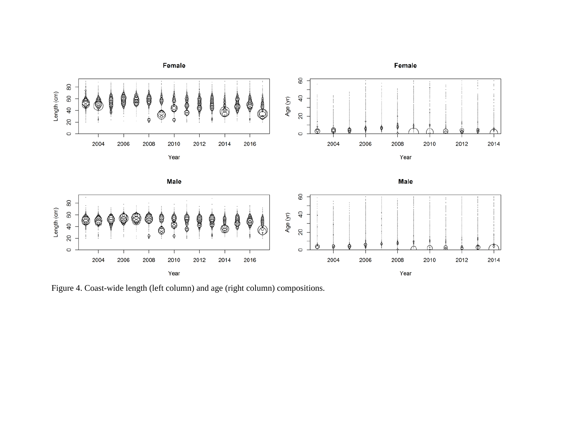

Figure 4. Coast-wide length (left column) and age (right column) compositions.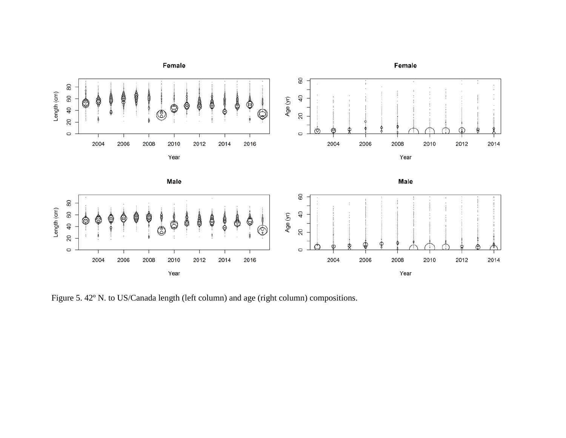

Figure 5. 42º N. to US/Canada length (left column) and age (right column) compositions.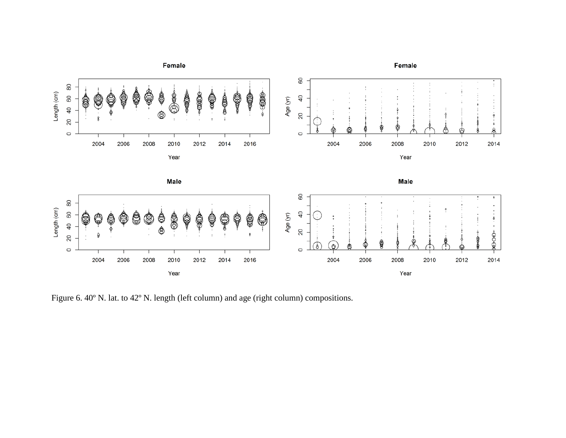

Figure 6. 40º N. lat. to 42º N. length (left column) and age (right column) compositions.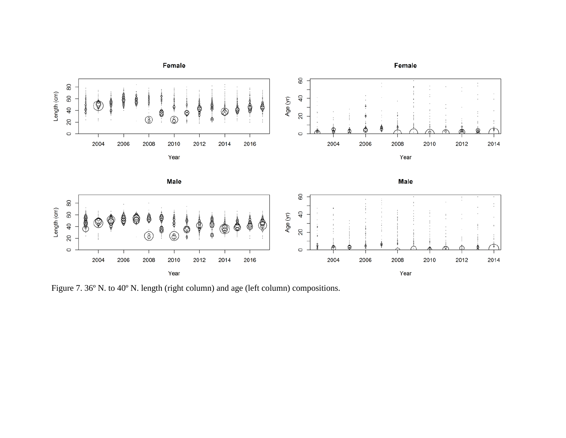

Figure 7. 36º N. to 40º N. length (right column) and age (left column) compositions.